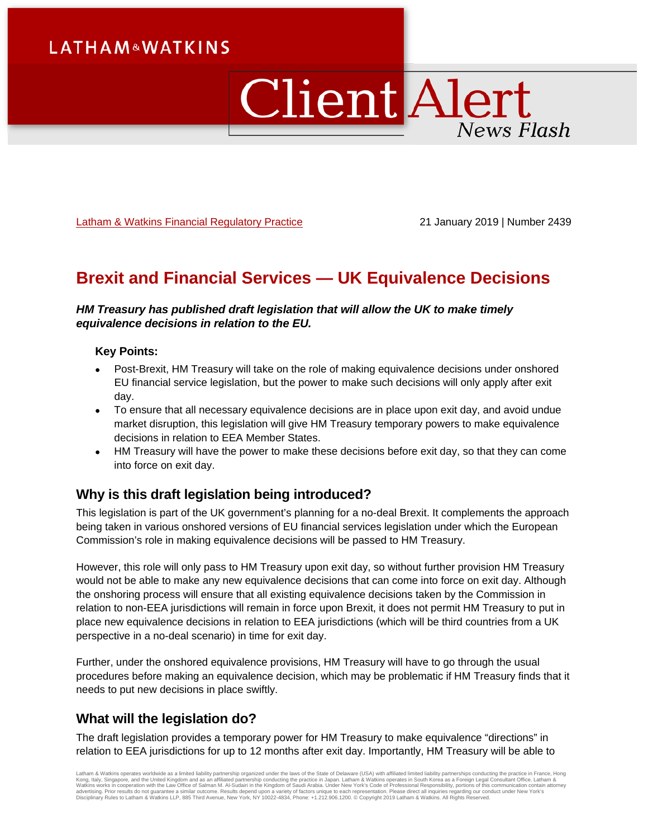# **LATHAM&WATKINS**

# Client Alert News Flash

[Latham & Watkins Financial Regulatory Practice](https://www.lw.com/practices/FinancialRegulatory) 21 January 2019 | Number 2439

## **Brexit and Financial Services — UK Equivalence Decisions**

#### *HM Treasury has published draft legislation that will allow the UK to make timely equivalence decisions in relation to the EU.*

#### **Key Points:**

- Post-Brexit, HM Treasury will take on the role of making equivalence decisions under onshored EU financial service legislation, but the power to make such decisions will only apply after exit day.
- To ensure that all necessary equivalence decisions are in place upon exit day, and avoid undue market disruption, this legislation will give HM Treasury temporary powers to make equivalence decisions in relation to EEA Member States.
- HM Treasury will have the power to make these decisions before exit day, so that they can come into force on exit day.

## **Why is this draft legislation being introduced?**

This legislation is part of the UK government's planning for a no-deal Brexit. It complements the approach being taken in various onshored versions of EU financial services legislation under which the European Commission's role in making equivalence decisions will be passed to HM Treasury.

However, this role will only pass to HM Treasury upon exit day, so without further provision HM Treasury would not be able to make any new equivalence decisions that can come into force on exit day. Although the onshoring process will ensure that all existing equivalence decisions taken by the Commission in relation to non-EEA jurisdictions will remain in force upon Brexit, it does not permit HM Treasury to put in place new equivalence decisions in relation to EEA jurisdictions (which will be third countries from a UK perspective in a no-deal scenario) in time for exit day.

Further, under the onshored equivalence provisions, HM Treasury will have to go through the usual procedures before making an equivalence decision, which may be problematic if HM Treasury finds that it needs to put new decisions in place swiftly.

## **What will the legislation do?**

The draft legislation provides a temporary power for HM Treasury to make equivalence "directions" in relation to EEA jurisdictions for up to 12 months after exit day. Importantly, HM Treasury will be able to

Latham & Watkins operates worldwide as a limited liability partnership organized under the laws of the State of Delaware (USA) with affiliated limited liability partnerships conducting the practice in France, Hong<br>Kong, It Disciplinary Rules to Latham & Watkins LLP, 885 Third Avenue, New York, NY 10022-4834, Phone: +1.212.906.1200. © Copyright 2019 Latham & Watkins. All Rights Reserved.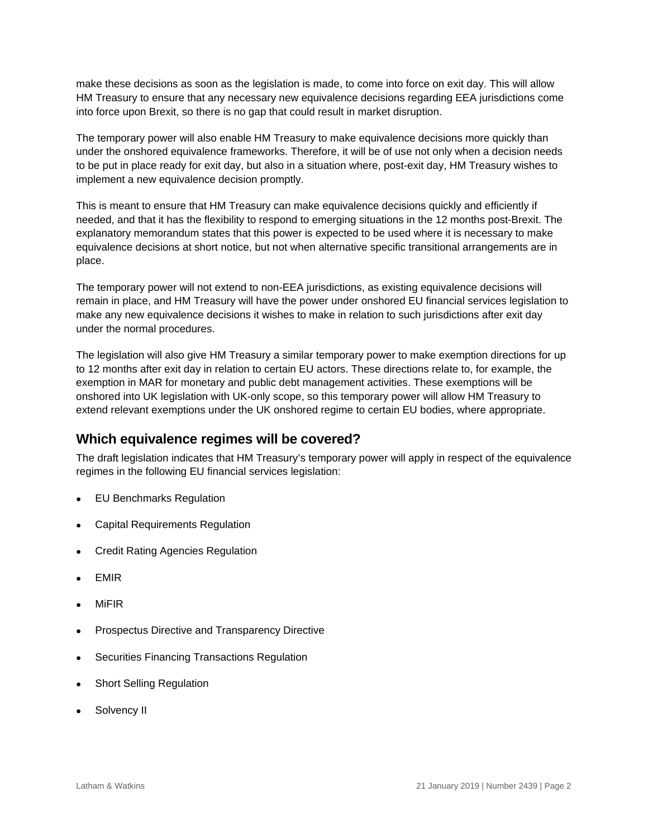make these decisions as soon as the legislation is made, to come into force on exit day. This will allow HM Treasury to ensure that any necessary new equivalence decisions regarding EEA jurisdictions come into force upon Brexit, so there is no gap that could result in market disruption.

The temporary power will also enable HM Treasury to make equivalence decisions more quickly than under the onshored equivalence frameworks. Therefore, it will be of use not only when a decision needs to be put in place ready for exit day, but also in a situation where, post-exit day, HM Treasury wishes to implement a new equivalence decision promptly.

This is meant to ensure that HM Treasury can make equivalence decisions quickly and efficiently if needed, and that it has the flexibility to respond to emerging situations in the 12 months post-Brexit. The explanatory memorandum states that this power is expected to be used where it is necessary to make equivalence decisions at short notice, but not when alternative specific transitional arrangements are in place.

The temporary power will not extend to non-EEA jurisdictions, as existing equivalence decisions will remain in place, and HM Treasury will have the power under onshored EU financial services legislation to make any new equivalence decisions it wishes to make in relation to such jurisdictions after exit day under the normal procedures.

The legislation will also give HM Treasury a similar temporary power to make exemption directions for up to 12 months after exit day in relation to certain EU actors. These directions relate to, for example, the exemption in MAR for monetary and public debt management activities. These exemptions will be onshored into UK legislation with UK-only scope, so this temporary power will allow HM Treasury to extend relevant exemptions under the UK onshored regime to certain EU bodies, where appropriate.

## **Which equivalence regimes will be covered?**

The draft legislation indicates that HM Treasury's temporary power will apply in respect of the equivalence regimes in the following EU financial services legislation:

- EU Benchmarks Regulation
- Capital Requirements Regulation
- Credit Rating Agencies Regulation
- EMIR
- MiFIR
- Prospectus Directive and Transparency Directive
- Securities Financing Transactions Regulation
- **Short Selling Regulation**
- Solvency II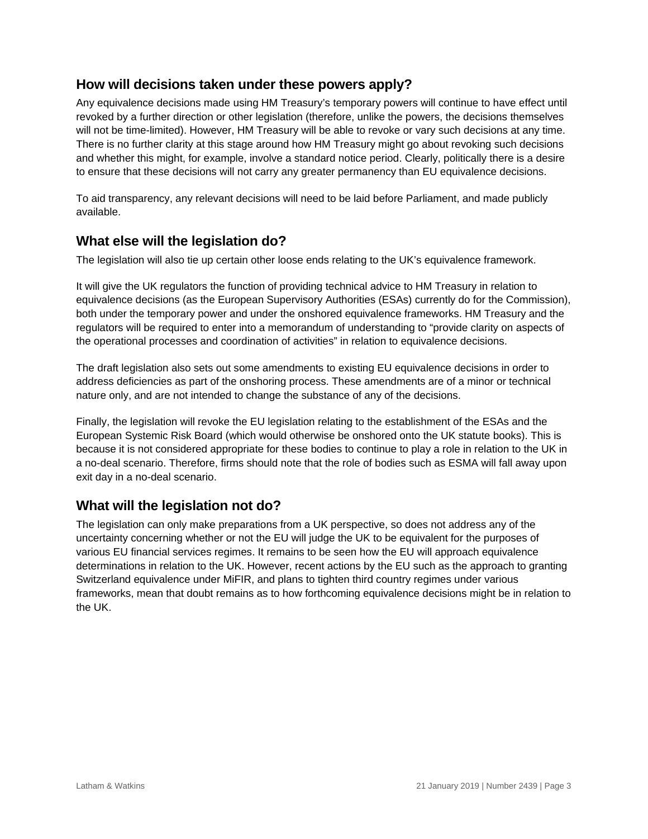## **How will decisions taken under these powers apply?**

Any equivalence decisions made using HM Treasury's temporary powers will continue to have effect until revoked by a further direction or other legislation (therefore, unlike the powers, the decisions themselves will not be time-limited). However, HM Treasury will be able to revoke or vary such decisions at any time. There is no further clarity at this stage around how HM Treasury might go about revoking such decisions and whether this might, for example, involve a standard notice period. Clearly, politically there is a desire to ensure that these decisions will not carry any greater permanency than EU equivalence decisions.

To aid transparency, any relevant decisions will need to be laid before Parliament, and made publicly available.

## **What else will the legislation do?**

The legislation will also tie up certain other loose ends relating to the UK's equivalence framework.

It will give the UK regulators the function of providing technical advice to HM Treasury in relation to equivalence decisions (as the European Supervisory Authorities (ESAs) currently do for the Commission), both under the temporary power and under the onshored equivalence frameworks. HM Treasury and the regulators will be required to enter into a memorandum of understanding to "provide clarity on aspects of the operational processes and coordination of activities" in relation to equivalence decisions.

The draft legislation also sets out some amendments to existing EU equivalence decisions in order to address deficiencies as part of the onshoring process. These amendments are of a minor or technical nature only, and are not intended to change the substance of any of the decisions.

Finally, the legislation will revoke the EU legislation relating to the establishment of the ESAs and the European Systemic Risk Board (which would otherwise be onshored onto the UK statute books). This is because it is not considered appropriate for these bodies to continue to play a role in relation to the UK in a no-deal scenario. Therefore, firms should note that the role of bodies such as ESMA will fall away upon exit day in a no-deal scenario.

## **What will the legislation not do?**

The legislation can only make preparations from a UK perspective, so does not address any of the uncertainty concerning whether or not the EU will judge the UK to be equivalent for the purposes of various EU financial services regimes. It remains to be seen how the EU will approach equivalence determinations in relation to the UK. However, recent actions by the EU such as the approach to granting Switzerland equivalence under MiFIR, and plans to tighten third country regimes under various frameworks, mean that doubt remains as to how forthcoming equivalence decisions might be in relation to the UK.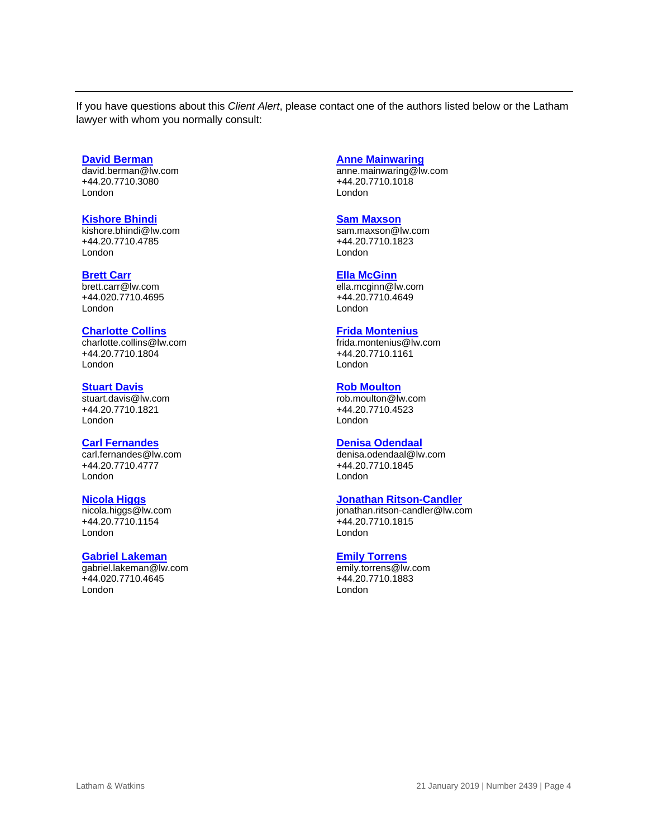If you have questions about this *Client Alert*, please contact one of the authors listed below or the Latham lawyer with whom you normally consult:

#### **[David Berman](https://www.lw.com/people/david-berman)**

[david.berman@lw.com](mailto:david.berman@lw.com) +44.20.7710.3080 London

#### **Kishore Bhindi**

[kishore.bhindi@lw.com](mailto:kishore.bhindi@lw.com) +44.20.7710.4785 London

#### **[Brett Carr](https://www.lw.com/people/brett-carr)**

[brett.carr@lw.com](mailto:brett.carr@lw.com) +44.020.7710.4695 London

#### **[Charlotte Collins](https://www.lw.com/people/charlotte-collins)**

[charlotte.collins@lw.com](mailto:charlotte.collins@lw.com) +44.20.7710.1804 London

#### **[Stuart Davis](https://www.lw.com/people/stuart-davis)**

[stuart.davis@lw.com](mailto:stuart.davis@lw.com) +44.20.7710.1821 London

#### **[Carl Fernandes](https://www.lw.com/people/carl-fernandes)**

[carl.fernandes@lw.com](mailto:carl.fernandes@lw.com) +44.20.7710.4777 London

#### **[Nicola Higgs](https://www.lw.com/people/nicola-higgs)**

[nicola.higgs@lw.com](mailto:nicola.higgs@lw.com) +44.20.7710.1154 London

#### **[Gabriel Lakeman](https://www.lw.com/people/gabriel-lakeman)**

[gabriel.lakeman@lw.com](mailto:gabriel.lakeman@lw.com) +44.020.7710.4645 London

#### **[Anne Mainwaring](https://www.lw.com/people/anne-mainwaring)**

[anne.mainwaring@lw.com](mailto:anne.mainwaring@lw.com) +44.20.7710.1018 London

#### **[Sam Maxson](https://www.lw.com/people/sam-maxson)**

[sam.maxson@lw.com](mailto:sam.maxson@lw.com) +44.20.7710.1823 London

#### **[Ella McGinn](https://www.lw.com/people/ella-mcginn)**

[ella.mcginn@lw.com](mailto:ella.mcginn@lw.com) +44.20.7710.4649 London

#### **[Frida Montenius](https://www.lw.com/people/frida-montenius)**

[frida.montenius@lw.com](mailto:frida.montenius@lw.com) +44.20.7710.1161 London

#### **[Rob Moulton](https://www.lw.com/people/rob-moulton)**

[rob.moulton@lw.com](mailto:rob.moulton@lw.com) +44.20.7710.4523 London

### **[Denisa Odendaal](https://www.lw.com/people/denisa-odendaal)**

[denisa.odendaal@lw.com](mailto:denisa.odendaal@lw.com) +44.20.7710.1845 London

#### **Jonathan [Ritson-Candler](https://www.lw.com/people/jonathan-ritson-candler)**

[jonathan.ritson-candler@lw.com](mailto:jonathan.ritson-candler@lw.com) +44.20.7710.1815 London

#### **[Emily Torrens](https://www.lw.com/people/emily-torrens)**

[emily.torrens@lw.com](mailto:emily.torrens@lw.com) +44.20.7710.1883 London